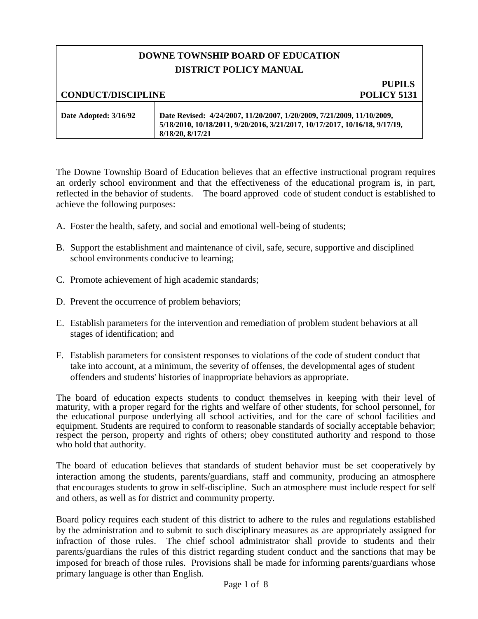## **DOWNE TOWNSHIP BOARD OF EDUCATION DISTRICT POLICY MANUAL**

# **PUPILS**

**CONDUCT/DISCIPLINE POLICY 5131**

| Date Adopted: 3/16/92 | Date Revised: 4/24/2007, 11/20/2007, 1/20/2009, 7/21/2009, 11/10/2009,      |
|-----------------------|-----------------------------------------------------------------------------|
|                       | 5/18/2010, 10/18/2011, 9/20/2016, 3/21/2017, 10/17/2017, 10/16/18, 9/17/19, |
|                       | 8/18/20, 8/17/21                                                            |

The Downe Township Board of Education believes that an effective instructional program requires an orderly school environment and that the effectiveness of the educational program is, in part, reflected in the behavior of students. The board approved code of student conduct is established to achieve the following purposes:

- A. Foster the health, safety, and social and emotional well-being of students;
- B. Support the establishment and maintenance of civil, safe, secure, supportive and disciplined school environments conducive to learning;
- C. Promote achievement of high academic standards;
- D. Prevent the occurrence of problem behaviors;
- E. Establish parameters for the intervention and remediation of problem student behaviors at all stages of identification; and
- F. Establish parameters for consistent responses to violations of the code of student conduct that take into account, at a minimum, the severity of offenses, the developmental ages of student offenders and students' histories of inappropriate behaviors as appropriate.

The board of education expects students to conduct themselves in keeping with their level of maturity, with a proper regard for the rights and welfare of other students, for school personnel, for the educational purpose underlying all school activities, and for the care of school facilities and equipment. Students are required to conform to reasonable standards of socially acceptable behavior; respect the person, property and rights of others; obey constituted authority and respond to those who hold that authority.

The board of education believes that standards of student behavior must be set cooperatively by interaction among the students, parents/guardians, staff and community, producing an atmosphere that encourages students to grow in self-discipline. Such an atmosphere must include respect for self and others, as well as for district and community property.

Board policy requires each student of this district to adhere to the rules and regulations established by the administration and to submit to such disciplinary measures as are appropriately assigned for infraction of those rules. The chief school administrator shall provide to students and their parents/guardians the rules of this district regarding student conduct and the sanctions that may be imposed for breach of those rules. Provisions shall be made for informing parents/guardians whose primary language is other than English.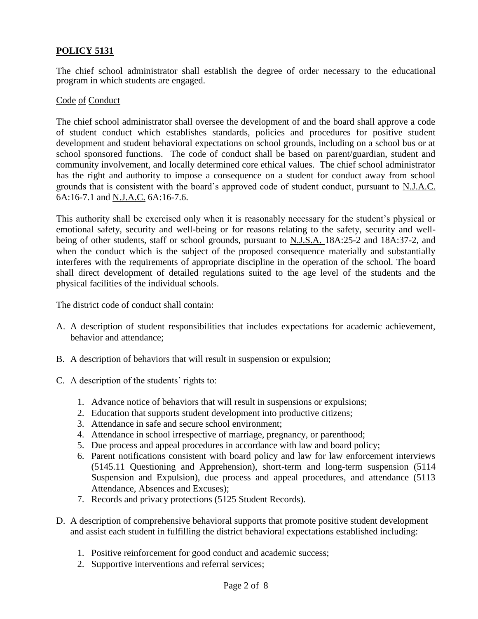The chief school administrator shall establish the degree of order necessary to the educational program in which students are engaged.

#### Code of Conduct

The chief school administrator shall oversee the development of and the board shall approve a code of student conduct which establishes standards, policies and procedures for positive student development and student behavioral expectations on school grounds, including on a school bus or at school sponsored functions. The code of conduct shall be based on parent/guardian, student and community involvement, and locally determined core ethical values. The chief school administrator has the right and authority to impose a consequence on a student for conduct away from school grounds that is consistent with the board's approved code of student conduct, pursuant to N.J.A.C. 6A:16-7.1 and N.J.A.C. 6A:16-7.6.

This authority shall be exercised only when it is reasonably necessary for the student's physical or emotional safety, security and well-being or for reasons relating to the safety, security and wellbeing of other students, staff or school grounds, pursuant to N.J.S.A. 18A:25-2 and 18A:37-2, and when the conduct which is the subject of the proposed consequence materially and substantially interferes with the requirements of appropriate discipline in the operation of the school. The board shall direct development of detailed regulations suited to the age level of the students and the physical facilities of the individual schools.

The district code of conduct shall contain:

- A. A description of student responsibilities that includes expectations for academic achievement, behavior and attendance;
- B. A description of behaviors that will result in suspension or expulsion;
- C. A description of the students' rights to:
	- 1. Advance notice of behaviors that will result in suspensions or expulsions;
	- 2. Education that supports student development into productive citizens;
	- 3. Attendance in safe and secure school environment;
	- 4. Attendance in school irrespective of marriage, pregnancy, or parenthood;
	- 5. Due process and appeal procedures in accordance with law and board policy;
	- 6. Parent notifications consistent with board policy and law for law enforcement interviews (5145.11 Questioning and Apprehension), short-term and long-term suspension (5114 Suspension and Expulsion), due process and appeal procedures, and attendance (5113) Attendance, Absences and Excuses);
	- 7. Records and privacy protections (5125 Student Records).
- D. A description of comprehensive behavioral supports that promote positive student development and assist each student in fulfilling the district behavioral expectations established including:
	- 1. Positive reinforcement for good conduct and academic success;
	- 2. Supportive interventions and referral services;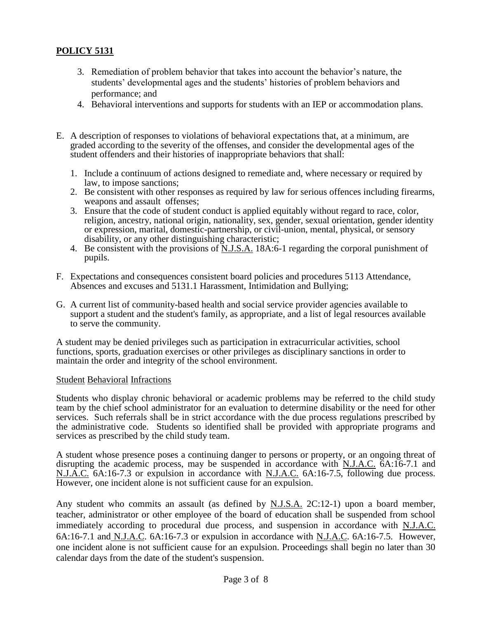- 3. Remediation of problem behavior that takes into account the behavior's nature, the students' developmental ages and the students' histories of problem behaviors and performance; and
- 4. Behavioral interventions and supports for students with an IEP or accommodation plans.
- E. A description of responses to violations of behavioral expectations that, at a minimum, are graded according to the severity of the offenses, and consider the developmental ages of the student offenders and their histories of inappropriate behaviors that shall:
	- 1. Include a continuum of actions designed to remediate and, where necessary or required by law, to impose sanctions;
	- 2. Be consistent with other responses as required by law for serious offences including firearms, weapons and assault offenses;
	- 3. Ensure that the code of student conduct is applied equitably without regard to race, color, religion, ancestry, national origin, nationality, sex, gender, sexual orientation, gender identity or expression, marital, domestic-partnership, or civil-union, mental, physical, or sensory disability, or any other distinguishing characteristic;
	- 4. Be consistent with the provisions of <u>N.J.S.A.</u> 18A:6-1 regarding the corporal punishment of pupils.
- F. Expectations and consequences consistent board policies and procedures 5113 Attendance, Absences and excuses and 5131.1 Harassment, Intimidation and Bullying;
- G. A current list of community-based health and social service provider agencies available to support a student and the student's family, as appropriate, and a list of legal resources available to serve the community.

A student may be denied privileges such as participation in extracurricular activities, school functions, sports, graduation exercises or other privileges as disciplinary sanctions in order to maintain the order and integrity of the school environment.

### Student Behavioral Infractions

Students who display chronic behavioral or academic problems may be referred to the child study team by the chief school administrator for an evaluation to determine disability or the need for other services. Such referrals shall be in strict accordance with the due process regulations prescribed by the administrative code. Students so identified shall be provided with appropriate programs and services as prescribed by the child study team.

A student whose presence poses a continuing danger to persons or property, or an ongoing threat of disrupting the academic process, may be suspended in accordance with N.J.A.C. 6A:16-7.1 and N.J.A.C. 6A:16-7.3 or expulsion in accordance with N.J.A.C. 6A:16-7.5, following due process. However, one incident alone is not sufficient cause for an expulsion.

Any student who commits an assault (as defined by N.J.S.A. 2C:12-1) upon a board member, teacher, administrator or other employee of the board of education shall be suspended from school immediately according to procedural due process, and suspension in accordance with N.J.A.C. 6A:16-7.1 and N.J.A.C. 6A:16-7.3 or expulsion in accordance with N.J.A.C. 6A:16-7.5. However, one incident alone is not sufficient cause for an expulsion. Proceedings shall begin no later than 30 calendar days from the date of the student's suspension.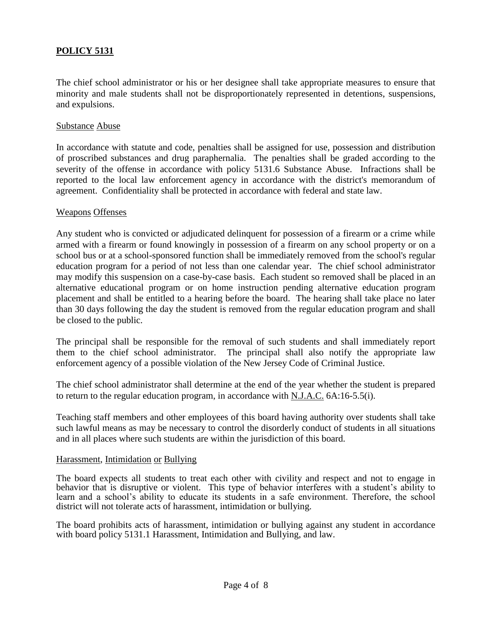The chief school administrator or his or her designee shall take appropriate measures to ensure that minority and male students shall not be disproportionately represented in detentions, suspensions, and expulsions.

#### Substance Abuse

In accordance with statute and code, penalties shall be assigned for use, possession and distribution of proscribed substances and drug paraphernalia. The penalties shall be graded according to the severity of the offense in accordance with policy 5131.6 Substance Abuse. Infractions shall be reported to the local law enforcement agency in accordance with the district's memorandum of agreement. Confidentiality shall be protected in accordance with federal and state law.

#### Weapons Offenses

Any student who is convicted or adjudicated delinquent for possession of a firearm or a crime while armed with a firearm or found knowingly in possession of a firearm on any school property or on a school bus or at a school-sponsored function shall be immediately removed from the school's regular education program for a period of not less than one calendar year. The chief school administrator may modify this suspension on a case-by-case basis. Each student so removed shall be placed in an alternative educational program or on home instruction pending alternative education program placement and shall be entitled to a hearing before the board. The hearing shall take place no later than 30 days following the day the student is removed from the regular education program and shall be closed to the public.

The principal shall be responsible for the removal of such students and shall immediately report them to the chief school administrator. The principal shall also notify the appropriate law enforcement agency of a possible violation of the New Jersey Code of Criminal Justice.

The chief school administrator shall determine at the end of the year whether the student is prepared to return to the regular education program, in accordance with N.J.A.C. 6A:16-5.5(i).

Teaching staff members and other employees of this board having authority over students shall take such lawful means as may be necessary to control the disorderly conduct of students in all situations and in all places where such students are within the jurisdiction of this board.

#### Harassment, Intimidation or Bullying

The board expects all students to treat each other with civility and respect and not to engage in behavior that is disruptive or violent. This type of behavior interferes with a student's ability to learn and a school's ability to educate its students in a safe environment. Therefore, the school district will not tolerate acts of harassment, intimidation or bullying.

The board prohibits acts of harassment, intimidation or bullying against any student in accordance with board policy 5131.1 Harassment, Intimidation and Bullying, and law.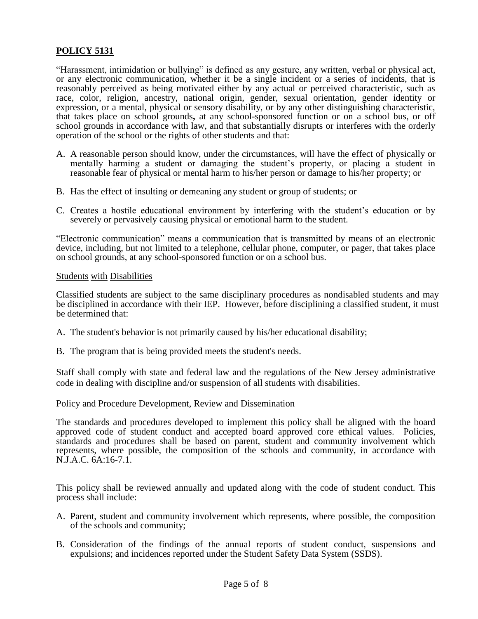"Harassment, intimidation or bullying" is defined as any gesture, any written, verbal or physical act, or any electronic communication, whether it be a single incident or a series of incidents, that is reasonably perceived as being motivated either by any actual or perceived characteristic, such as race, color, religion, ancestry, national origin, gender, sexual orientation, gender identity or expression, or a mental, physical or sensory disability, or by any other distinguishing characteristic, that takes place on school grounds**,** at any school-sponsored function or on a school bus, or off school grounds in accordance with law, and that substantially disrupts or interferes with the orderly operation of the school or the rights of other students and that:

- A. A reasonable person should know, under the circumstances, will have the effect of physically or mentally harming a student or damaging the student's property, or placing a student in reasonable fear of physical or mental harm to his/her person or damage to his/her property; or
- B. Has the effect of insulting or demeaning any student or group of students; or
- C. Creates a hostile educational environment by interfering with the student's education or by severely or pervasively causing physical or emotional harm to the student.

"Electronic communication" means a communication that is transmitted by means of an electronic device, including, but not limited to a telephone, cellular phone, computer, or pager, that takes place on school grounds, at any school-sponsored function or on a school bus.

#### Students with Disabilities

Classified students are subject to the same disciplinary procedures as nondisabled students and may be disciplined in accordance with their IEP. However, before disciplining a classified student, it must be determined that:

- A. The student's behavior is not primarily caused by his/her educational disability;
- B. The program that is being provided meets the student's needs.

Staff shall comply with state and federal law and the regulations of the New Jersey administrative code in dealing with discipline and/or suspension of all students with disabilities.

#### Policy and Procedure Development, Review and Dissemination

The standards and procedures developed to implement this policy shall be aligned with the board approved code of student conduct and accepted board approved core ethical values. Policies, standards and procedures shall be based on parent, student and community involvement which represents, where possible, the composition of the schools and community, in accordance with N.J.A.C. 6A:16-7.1.

This policy shall be reviewed annually and updated along with the code of student conduct. This process shall include:

- A. Parent, student and community involvement which represents, where possible, the composition of the schools and community;
- B. Consideration of the findings of the annual reports of student conduct, suspensions and expulsions; and incidences reported under the Student Safety Data System (SSDS).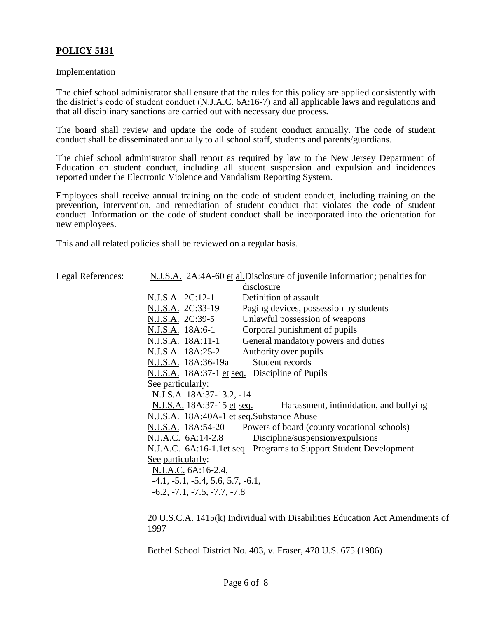#### **Implementation**

Legal References:

The chief school administrator shall ensure that the rules for this policy are applied consistently with the district's code of student conduct (N.J.A.C. 6A:16-7) and all applicable laws and regulations and that all disciplinary sanctions are carried out with necessary due process.

The board shall review and update the code of student conduct annually. The code of student conduct shall be disseminated annually to all school staff, students and parents/guardians.

The chief school administrator shall report as required by law to the New Jersey Department of Education on student conduct, including all student suspension and expulsion and incidences reported under the Electronic Violence and Vandalism Reporting System.

Employees shall receive annual training on the code of student conduct, including training on the prevention, intervention, and remediation of student conduct that violates the code of student conduct. Information on the code of student conduct shall be incorporated into the orientation for new employees.

This and all related policies shall be reviewed on a regular basis.

| N.J.S.A. 2A:4A-60 et al.Disclosure of juvenile information; penalties for |                                                                |  |  |
|---------------------------------------------------------------------------|----------------------------------------------------------------|--|--|
|                                                                           | disclosure                                                     |  |  |
| N.J.S.A. 2C:12-1                                                          | Definition of assault                                          |  |  |
| N.J.S.A. 2C:33-19                                                         | Paging devices, possession by students                         |  |  |
| N.J.S.A. 2C:39-5                                                          | Unlawful possession of weapons                                 |  |  |
| N.J.S.A. 18A:6-1                                                          | Corporal punishment of pupils                                  |  |  |
| N.J.S.A. 18A:11-1                                                         | General mandatory powers and duties                            |  |  |
| N.J.S.A. 18A:25-2                                                         | Authority over pupils                                          |  |  |
| N.J.S.A. 18A:36-19a                                                       | Student records                                                |  |  |
| N.J.S.A. 18A:37-1 et seq. Discipline of Pupils                            |                                                                |  |  |
| See particularly:                                                         |                                                                |  |  |
| N.J.S.A. 18A:37-13.2, -14                                                 |                                                                |  |  |
| <u>N.J.S.A.</u> 18A:37-15 <u>et seq.</u>                                  | Harassment, intimidation, and bullying                         |  |  |
| N.J.S.A. 18A:40A-1 et seq.Substance Abuse                                 |                                                                |  |  |
|                                                                           | N.J.S.A. 18A:54-20 Powers of board (county vocational schools) |  |  |
| N.J.A.C. 6A:14-2.8                                                        | Discipline/suspension/expulsions                               |  |  |
| N.J.A.C. 6A:16-1.1et seq. Programs to Support Student Development         |                                                                |  |  |
| See particularly:                                                         |                                                                |  |  |
| N.J.A.C. 6A:16-2.4,                                                       |                                                                |  |  |
| $-4.1, -5.1, -5.4, 5.6, 5.7, -6.1,$                                       |                                                                |  |  |
| $-6.2, -7.1, -7.5, -7.7, -7.8$                                            |                                                                |  |  |
|                                                                           |                                                                |  |  |

20 U.S.C.A. 1415(k) Individual with Disabilities Education Act Amendments of 1997

Bethel School District No. 403, v. Fraser, 478 U.S. 675 (1986)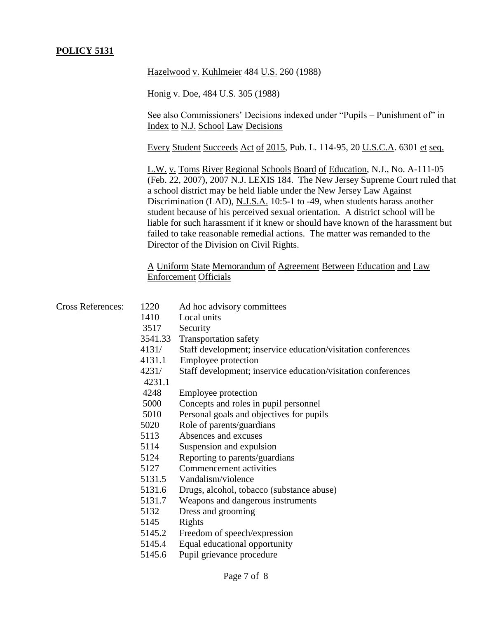Hazelwood v. Kuhlmeier 484 U.S. 260 (1988)

Honig v. Doe, 484 U.S. 305 (1988)

See also Commissioners' Decisions indexed under "Pupils – Punishment of" in Index to N.J. School Law Decisions

Every Student Succeeds Act of 2015, Pub. L. 114-95, 20 U.S.C.A. 6301 et seq.

L.W. v. Toms River Regional Schools Board of Education, N.J., No. A-111-05 (Feb. 22, 2007), 2007 N.J. LEXIS 184. The New Jersey Supreme Court ruled that a school district may be held liable under the New Jersey Law Against Discrimination (LAD), N.J.S.A. 10:5-1 to -49, when students harass another student because of his perceived sexual orientation. A district school will be liable for such harassment if it knew or should have known of the harassment but failed to take reasonable remedial actions. The matter was remanded to the Director of the Division on Civil Rights.

A Uniform State Memorandum of Agreement Between Education and Law Enforcement Officials

| <b>Cross References:</b> | 1220    | Ad hoc advisory committees                                    |
|--------------------------|---------|---------------------------------------------------------------|
|                          | 1410    | Local units                                                   |
|                          | 3517    | Security                                                      |
|                          | 3541.33 | <b>Transportation safety</b>                                  |
|                          | 4131/   | Staff development; inservice education/visitation conferences |
|                          | 4131.1  | Employee protection                                           |
|                          | 4231/   | Staff development; inservice education/visitation conferences |
|                          | 4231.1  |                                                               |
|                          | 4248    | Employee protection                                           |
|                          | 5000    | Concepts and roles in pupil personnel                         |
|                          | 5010    | Personal goals and objectives for pupils                      |
|                          | 5020    | Role of parents/guardians                                     |
|                          | 5113    | Absences and excuses                                          |
|                          | 5114    | Suspension and expulsion                                      |
|                          | 5124    | Reporting to parents/guardians                                |
|                          | 5127    | Commencement activities                                       |
|                          | 5131.5  | Vandalism/violence                                            |
|                          | 5131.6  | Drugs, alcohol, tobacco (substance abuse)                     |
|                          | 5131.7  | Weapons and dangerous instruments                             |
|                          | 5132    | Dress and grooming                                            |
|                          | 5145    | Rights                                                        |
|                          | 5145.2  | Freedom of speech/expression                                  |
|                          | 5145.4  | Equal educational opportunity                                 |
|                          | 5145.6  | Pupil grievance procedure                                     |